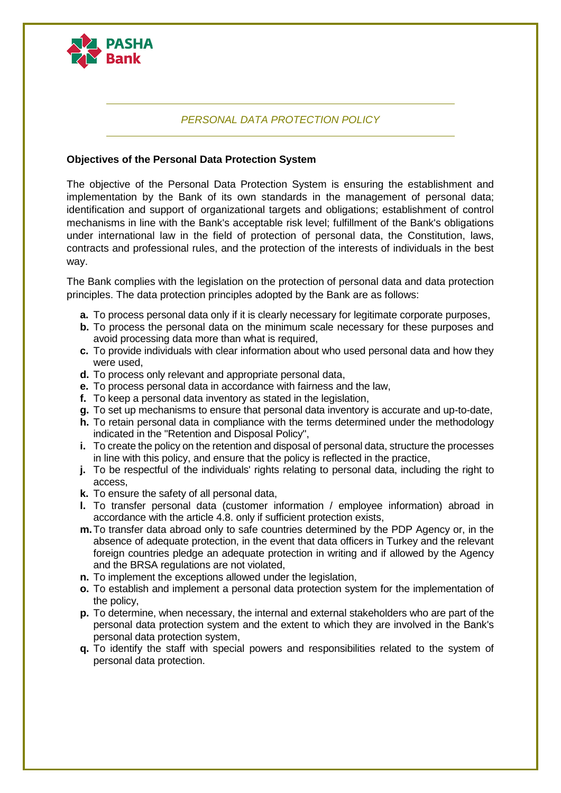

# *PERSONAL DATA PROTECTION POLICY*

## **Objectives of the Personal Data Protection System**

The objective of the Personal Data Protection System is ensuring the establishment and implementation by the Bank of its own standards in the management of personal data; identification and support of organizational targets and obligations; establishment of control mechanisms in line with the Bank's acceptable risk level; fulfillment of the Bank's obligations under international law in the field of protection of personal data, the Constitution, laws, contracts and professional rules, and the protection of the interests of individuals in the best way.

The Bank complies with the legislation on the protection of personal data and data protection principles. The data protection principles adopted by the Bank are as follows:

- **a.** To process personal data only if it is clearly necessary for legitimate corporate purposes,
- **b.** To process the personal data on the minimum scale necessary for these purposes and avoid processing data more than what is required,
- **c.** To provide individuals with clear information about who used personal data and how they were used,
- **d.** To process only relevant and appropriate personal data,
- **e.** To process personal data in accordance with fairness and the law,
- **f.** To keep a personal data inventory as stated in the legislation,
- **g.** To set up mechanisms to ensure that personal data inventory is accurate and up-to-date,
- **h.** To retain personal data in compliance with the terms determined under the methodology indicated in the "Retention and Disposal Policy",
- **i.** To create the policy on the retention and disposal of personal data, structure the processes in line with this policy, and ensure that the policy is reflected in the practice,
- **i.** To be respectful of the individuals' rights relating to personal data, including the right to access,
- **k.** To ensure the safety of all personal data,
- **l.** To transfer personal data (customer information / employee information) abroad in accordance with the article 4.8. only if sufficient protection exists,
- **m.**To transfer data abroad only to safe countries determined by the PDP Agency or, in the absence of adequate protection, in the event that data officers in Turkey and the relevant foreign countries pledge an adequate protection in writing and if allowed by the Agency and the BRSA regulations are not violated,
- **n.** To implement the exceptions allowed under the legislation,
- **o.** To establish and implement a personal data protection system for the implementation of the policy,
- **p.** To determine, when necessary, the internal and external stakeholders who are part of the personal data protection system and the extent to which they are involved in the Bank's personal data protection system,
- **q.** To identify the staff with special powers and responsibilities related to the system of personal data protection.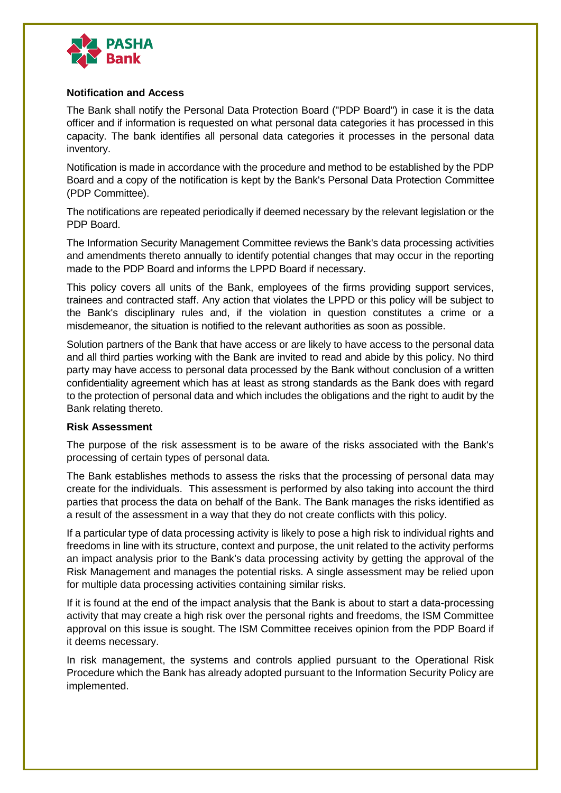

## **Notification and Access**

The Bank shall notify the Personal Data Protection Board ("PDP Board") in case it is the data officer and if information is requested on what personal data categories it has processed in this capacity. The bank identifies all personal data categories it processes in the personal data inventory.

Notification is made in accordance with the procedure and method to be established by the PDP Board and a copy of the notification is kept by the Bank's Personal Data Protection Committee (PDP Committee).

The notifications are repeated periodically if deemed necessary by the relevant legislation or the PDP Board.

The Information Security Management Committee reviews the Bank's data processing activities and amendments thereto annually to identify potential changes that may occur in the reporting made to the PDP Board and informs the LPPD Board if necessary.

This policy covers all units of the Bank, employees of the firms providing support services, trainees and contracted staff. Any action that violates the LPPD or this policy will be subject to the Bank's disciplinary rules and, if the violation in question constitutes a crime or a misdemeanor, the situation is notified to the relevant authorities as soon as possible.

Solution partners of the Bank that have access or are likely to have access to the personal data and all third parties working with the Bank are invited to read and abide by this policy. No third party may have access to personal data processed by the Bank without conclusion of a written confidentiality agreement which has at least as strong standards as the Bank does with regard to the protection of personal data and which includes the obligations and the right to audit by the Bank relating thereto.

#### **Risk Assessment**

The purpose of the risk assessment is to be aware of the risks associated with the Bank's processing of certain types of personal data.

The Bank establishes methods to assess the risks that the processing of personal data may create for the individuals. This assessment is performed by also taking into account the third parties that process the data on behalf of the Bank. The Bank manages the risks identified as a result of the assessment in a way that they do not create conflicts with this policy.

If a particular type of data processing activity is likely to pose a high risk to individual rights and freedoms in line with its structure, context and purpose, the unit related to the activity performs an impact analysis prior to the Bank's data processing activity by getting the approval of the Risk Management and manages the potential risks. A single assessment may be relied upon for multiple data processing activities containing similar risks.

If it is found at the end of the impact analysis that the Bank is about to start a data-processing activity that may create a high risk over the personal rights and freedoms, the ISM Committee approval on this issue is sought. The ISM Committee receives opinion from the PDP Board if it deems necessary.

In risk management, the systems and controls applied pursuant to the Operational Risk Procedure which the Bank has already adopted pursuant to the Information Security Policy are implemented.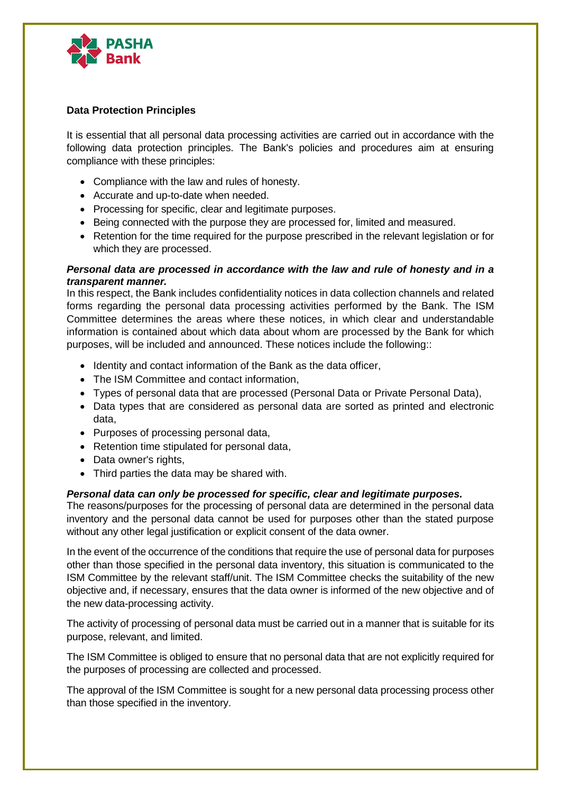

## **Data Protection Principles**

It is essential that all personal data processing activities are carried out in accordance with the following data protection principles. The Bank's policies and procedures aim at ensuring compliance with these principles:

- Compliance with the law and rules of honesty.
- Accurate and up-to-date when needed.
- Processing for specific, clear and legitimate purposes.
- Being connected with the purpose they are processed for, limited and measured.
- Retention for the time required for the purpose prescribed in the relevant legislation or for which they are processed.

## *Personal data are processed in accordance with the law and rule of honesty and in a transparent manner.*

In this respect, the Bank includes confidentiality notices in data collection channels and related forms regarding the personal data processing activities performed by the Bank. The ISM Committee determines the areas where these notices, in which clear and understandable information is contained about which data about whom are processed by the Bank for which purposes, will be included and announced. These notices include the following::

- Identity and contact information of the Bank as the data officer,
- The ISM Committee and contact information,
- Types of personal data that are processed (Personal Data or Private Personal Data),
- Data types that are considered as personal data are sorted as printed and electronic data,
- Purposes of processing personal data,
- Retention time stipulated for personal data,
- Data owner's rights,
- Third parties the data may be shared with.

## *Personal data can only be processed for specific, clear and legitimate purposes.*

The reasons/purposes for the processing of personal data are determined in the personal data inventory and the personal data cannot be used for purposes other than the stated purpose without any other legal justification or explicit consent of the data owner.

In the event of the occurrence of the conditions that require the use of personal data for purposes other than those specified in the personal data inventory, this situation is communicated to the ISM Committee by the relevant staff/unit. The ISM Committee checks the suitability of the new objective and, if necessary, ensures that the data owner is informed of the new objective and of the new data-processing activity.

The activity of processing of personal data must be carried out in a manner that is suitable for its purpose, relevant, and limited.

The ISM Committee is obliged to ensure that no personal data that are not explicitly required for the purposes of processing are collected and processed.

The approval of the ISM Committee is sought for a new personal data processing process other than those specified in the inventory.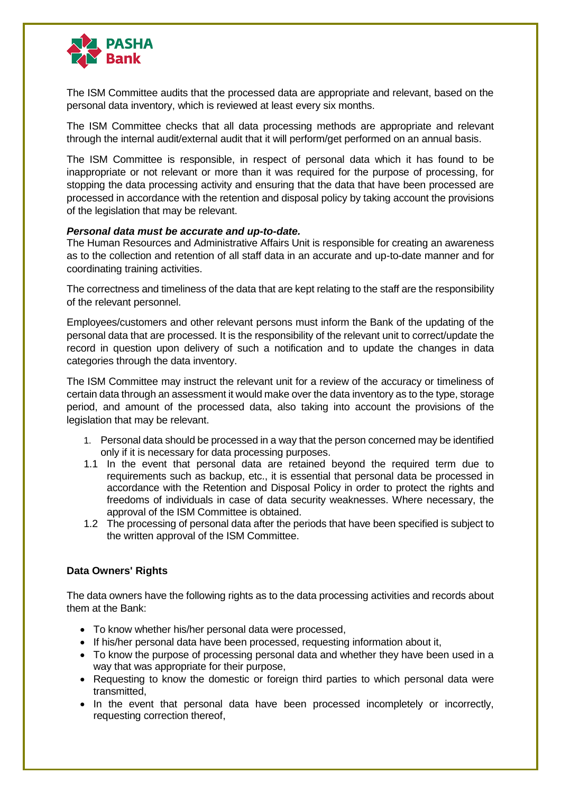

The ISM Committee audits that the processed data are appropriate and relevant, based on the personal data inventory, which is reviewed at least every six months.

The ISM Committee checks that all data processing methods are appropriate and relevant through the internal audit/external audit that it will perform/get performed on an annual basis.

The ISM Committee is responsible, in respect of personal data which it has found to be inappropriate or not relevant or more than it was required for the purpose of processing, for stopping the data processing activity and ensuring that the data that have been processed are processed in accordance with the retention and disposal policy by taking account the provisions of the legislation that may be relevant.

#### *Personal data must be accurate and up-to-date.*

The Human Resources and Administrative Affairs Unit is responsible for creating an awareness as to the collection and retention of all staff data in an accurate and up-to-date manner and for coordinating training activities.

The correctness and timeliness of the data that are kept relating to the staff are the responsibility of the relevant personnel.

Employees/customers and other relevant persons must inform the Bank of the updating of the personal data that are processed. It is the responsibility of the relevant unit to correct/update the record in question upon delivery of such a notification and to update the changes in data categories through the data inventory.

The ISM Committee may instruct the relevant unit for a review of the accuracy or timeliness of certain data through an assessment it would make over the data inventory as to the type, storage period, and amount of the processed data, also taking into account the provisions of the legislation that may be relevant.

- 1. Personal data should be processed in a way that the person concerned may be identified only if it is necessary for data processing purposes.
- 1.1 In the event that personal data are retained beyond the required term due to requirements such as backup, etc., it is essential that personal data be processed in accordance with the Retention and Disposal Policy in order to protect the rights and freedoms of individuals in case of data security weaknesses. Where necessary, the approval of the ISM Committee is obtained.
- 1.2 The processing of personal data after the periods that have been specified is subject to the written approval of the ISM Committee.

## **Data Owners' Rights**

The data owners have the following rights as to the data processing activities and records about them at the Bank:

- To know whether his/her personal data were processed,
- If his/her personal data have been processed, requesting information about it,
- To know the purpose of processing personal data and whether they have been used in a way that was appropriate for their purpose,
- Requesting to know the domestic or foreign third parties to which personal data were transmitted,
- In the event that personal data have been processed incompletely or incorrectly, requesting correction thereof,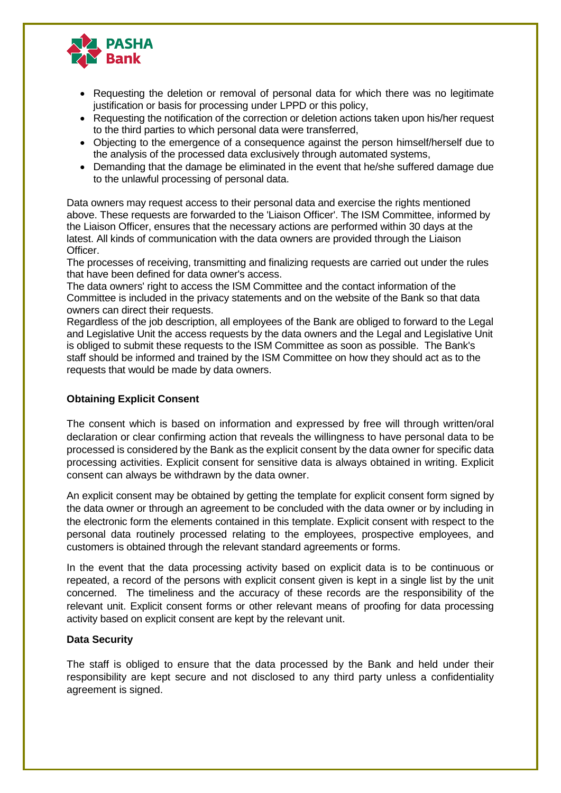

- Requesting the deletion or removal of personal data for which there was no legitimate justification or basis for processing under LPPD or this policy,
- Requesting the notification of the correction or deletion actions taken upon his/her request to the third parties to which personal data were transferred,
- Objecting to the emergence of a consequence against the person himself/herself due to the analysis of the processed data exclusively through automated systems,
- Demanding that the damage be eliminated in the event that he/she suffered damage due to the unlawful processing of personal data.

Data owners may request access to their personal data and exercise the rights mentioned above. These requests are forwarded to the 'Liaison Officer'. The ISM Committee, informed by the Liaison Officer, ensures that the necessary actions are performed within 30 days at the latest. All kinds of communication with the data owners are provided through the Liaison Officer.

The processes of receiving, transmitting and finalizing requests are carried out under the rules that have been defined for data owner's access.

The data owners' right to access the ISM Committee and the contact information of the Committee is included in the privacy statements and on the website of the Bank so that data owners can direct their requests.

Regardless of the job description, all employees of the Bank are obliged to forward to the Legal and Legislative Unit the access requests by the data owners and the Legal and Legislative Unit is obliged to submit these requests to the ISM Committee as soon as possible. The Bank's staff should be informed and trained by the ISM Committee on how they should act as to the requests that would be made by data owners.

## **Obtaining Explicit Consent**

The consent which is based on information and expressed by free will through written/oral declaration or clear confirming action that reveals the willingness to have personal data to be processed is considered by the Bank as the explicit consent by the data owner for specific data processing activities. Explicit consent for sensitive data is always obtained in writing. Explicit consent can always be withdrawn by the data owner.

An explicit consent may be obtained by getting the template for explicit consent form signed by the data owner or through an agreement to be concluded with the data owner or by including in the electronic form the elements contained in this template. Explicit consent with respect to the personal data routinely processed relating to the employees, prospective employees, and customers is obtained through the relevant standard agreements or forms.

In the event that the data processing activity based on explicit data is to be continuous or repeated, a record of the persons with explicit consent given is kept in a single list by the unit concerned. The timeliness and the accuracy of these records are the responsibility of the relevant unit. Explicit consent forms or other relevant means of proofing for data processing activity based on explicit consent are kept by the relevant unit.

## **Data Security**

The staff is obliged to ensure that the data processed by the Bank and held under their responsibility are kept secure and not disclosed to any third party unless a confidentiality agreement is signed.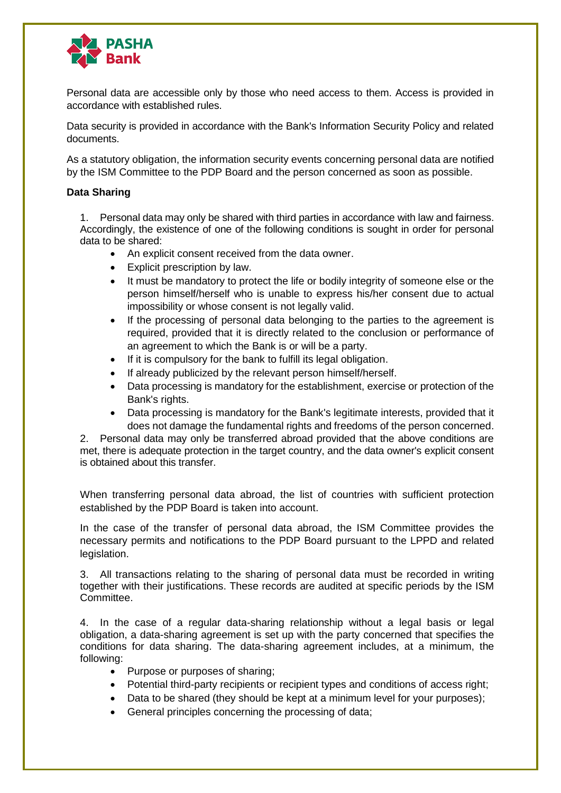

Personal data are accessible only by those who need access to them. Access is provided in accordance with established rules.

Data security is provided in accordance with the Bank's Information Security Policy and related documents.

As a statutory obligation, the information security events concerning personal data are notified by the ISM Committee to the PDP Board and the person concerned as soon as possible.

## **Data Sharing**

1. Personal data may only be shared with third parties in accordance with law and fairness. Accordingly, the existence of one of the following conditions is sought in order for personal data to be shared:

- An explicit consent received from the data owner.
- Explicit prescription by law.
- It must be mandatory to protect the life or bodily integrity of someone else or the person himself/herself who is unable to express his/her consent due to actual impossibility or whose consent is not legally valid.
- If the processing of personal data belonging to the parties to the agreement is required, provided that it is directly related to the conclusion or performance of an agreement to which the Bank is or will be a party.
- If it is compulsory for the bank to fulfill its legal obligation.
- If already publicized by the relevant person himself/herself.
- Data processing is mandatory for the establishment, exercise or protection of the Bank's rights.
- Data processing is mandatory for the Bank's legitimate interests, provided that it does not damage the fundamental rights and freedoms of the person concerned.

2. Personal data may only be transferred abroad provided that the above conditions are met, there is adequate protection in the target country, and the data owner's explicit consent is obtained about this transfer.

When transferring personal data abroad, the list of countries with sufficient protection established by the PDP Board is taken into account.

In the case of the transfer of personal data abroad, the ISM Committee provides the necessary permits and notifications to the PDP Board pursuant to the LPPD and related legislation.

3. All transactions relating to the sharing of personal data must be recorded in writing together with their justifications. These records are audited at specific periods by the ISM Committee.

4. In the case of a regular data-sharing relationship without a legal basis or legal obligation, a data-sharing agreement is set up with the party concerned that specifies the conditions for data sharing. The data-sharing agreement includes, at a minimum, the following:

- Purpose or purposes of sharing;
- Potential third-party recipients or recipient types and conditions of access right;
- Data to be shared (they should be kept at a minimum level for your purposes);
- General principles concerning the processing of data;